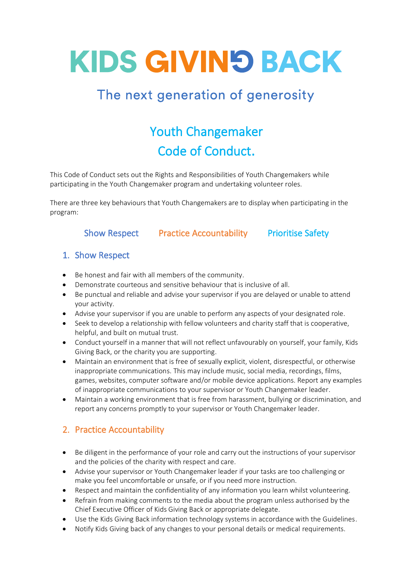# **KIDS GIVIN'S BACK**

### The next generation of generosity

## Youth Changemaker Code of Conduct.

This Code of Conduct sets out the Rights and Responsibilities of Youth Changemakers while participating in the Youth Changemaker program and undertaking volunteer roles.

There are three key behaviours that Youth Changemakers are to display when participating in the program:

#### Show Respect Practice Accountability Prioritise Safety

#### 1. Show Respect

- Be honest and fair with all members of the community.
- Demonstrate courteous and sensitive behaviour that is inclusive of all.
- Be punctual and reliable and advise your supervisor if you are delayed or unable to attend your activity.
- Advise your supervisor if you are unable to perform any aspects of your designated role.
- Seek to develop a relationship with fellow volunteers and charity staff that is cooperative, helpful, and built on mutual trust.
- Conduct yourself in a manner that will not reflect unfavourably on yourself, your family, Kids Giving Back, or the charity you are supporting.
- Maintain an environment that is free of sexually explicit, violent, disrespectful, or otherwise inappropriate communications. This may include music, social media, recordings, films, games, websites, computer software and/or mobile device applications. Report any examples of inappropriate communications to your supervisor or Youth Changemaker leader.
- Maintain a working environment that is free from harassment, bullying or discrimination, and report any concerns promptly to your supervisor or Youth Changemaker leader.

#### 2. Practice Accountability

- Be diligent in the performance of your role and carry out the instructions of your supervisor and the policies of the charity with respect and care.
- Advise your supervisor or Youth Changemaker leader if your tasks are too challenging or make you feel uncomfortable or unsafe, or if you need more instruction.
- Respect and maintain the confidentiality of any information you learn whilst volunteering.
- Refrain from making comments to the media about the program unless authorised by the Chief Executive Officer of Kids Giving Back or appropriate delegate.
- Use the Kids Giving Back information technology systems in accordance with the Guidelines.
- Notify Kids Giving back of any changes to your personal details or medical requirements.